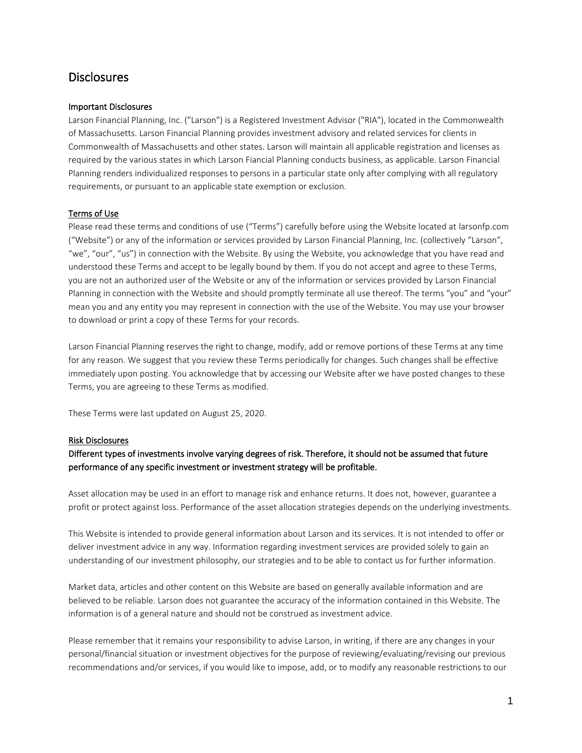# **Disclosures**

## Important Disclosures

Larson Financial Planning, Inc. ("Larson") is a Registered Investment Advisor ("RIA"), located in the Commonwealth of Massachusetts. Larson Financial Planning provides investment advisory and related services for clients in Commonwealth of Massachusetts and other states. Larson will maintain all applicable registration and licenses as required by the various states in which Larson Fiancial Planning conducts business, as applicable. Larson Financial Planning renders individualized responses to persons in a particular state only after complying with all regulatory requirements, or pursuant to an applicable state exemption or exclusion.

## Terms of Use

Please read these terms and conditions of use ("Terms") carefully before using the Website located at larsonfp.com ("Website") or any of the information or services provided by Larson Financial Planning, Inc. (collectively "Larson", "we", "our", "us") in connection with the Website. By using the Website, you acknowledge that you have read and understood these Terms and accept to be legally bound by them. If you do not accept and agree to these Terms, you are not an authorized user of the Website or any of the information or services provided by Larson Financial Planning in connection with the Website and should promptly terminate all use thereof. The terms "you" and "your" mean you and any entity you may represent in connection with the use of the Website. You may use your browser to download or print a copy of these Terms for your records.

Larson Financial Planning reserves the right to change, modify, add or remove portions of these Terms at any time for any reason. We suggest that you review these Terms periodically for changes. Such changes shall be effective immediately upon posting. You acknowledge that by accessing our Website after we have posted changes to these Terms, you are agreeing to these Terms as modified.

These Terms were last updated on August 25, 2020.

## Risk Disclosures

## Different types of investments involve varying degrees of risk. Therefore, it should not be assumed that future performance of any specific investment or investment strategy will be profitable.

Asset allocation may be used in an effort to manage risk and enhance returns. It does not, however, guarantee a profit or protect against loss. Performance of the asset allocation strategies depends on the underlying investments.

This Website is intended to provide general information about Larson and its services. It is not intended to offer or deliver investment advice in any way. Information regarding investment services are provided solely to gain an understanding of our investment philosophy, our strategies and to be able to contact us for further information.

Market data, articles and other content on this Website are based on generally available information and are believed to be reliable. Larson does not guarantee the accuracy of the information contained in this Website. The information is of a general nature and should not be construed as investment advice.

Please remember that it remains your responsibility to advise Larson, in writing, if there are any changes in your personal/financial situation or investment objectives for the purpose of reviewing/evaluating/revising our previous recommendations and/or services, if you would like to impose, add, or to modify any reasonable restrictions to our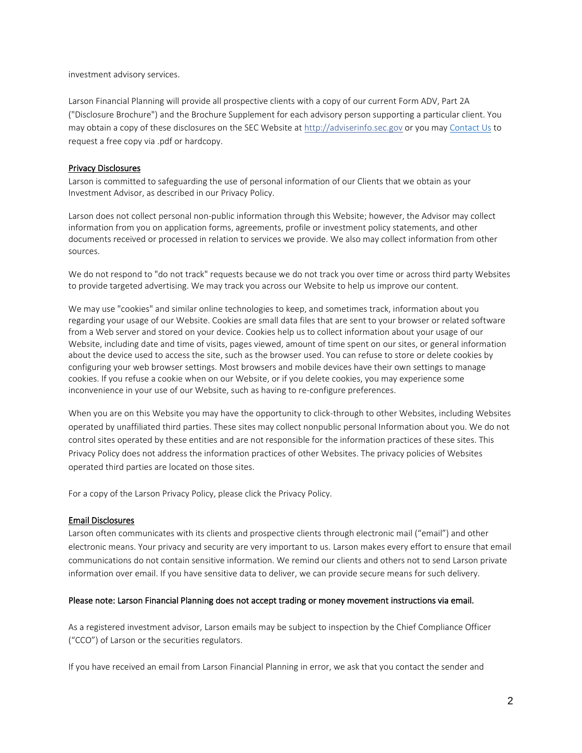investment advisory services.

Larson Financial Planning will provide all prospective clients with a copy of our current Form ADV, Part 2A ("Disclosure Brochure") and the Brochure Supplement for each advisory person supporting a particular client. You may obtain a copy of these disclosures on the SEC Website at [http://adviserinfo.sec.gov](http://adviserinfo.sec.gov/) or you may [Contact Us](mailto:clarson@larsonfp.com) to request a free copy via .pdf or hardcopy.

#### Privacy Disclosures

Larson is committed to safeguarding the use of personal information of our Clients that we obtain as your Investment Advisor, as described in our Privacy Policy.

Larson does not collect personal non-public information through this Website; however, the Advisor may collect information from you on application forms, agreements, profile or investment policy statements, and other documents received or processed in relation to services we provide. We also may collect information from other sources.

We do not respond to "do not track" requests because we do not track you over time or across third party Websites to provide targeted advertising. We may track you across our Website to help us improve our content.

We may use "cookies" and similar online technologies to keep, and sometimes track, information about you regarding your usage of our Website. Cookies are small data files that are sent to your browser or related software from a Web server and stored on your device. Cookies help us to collect information about your usage of our Website, including date and time of visits, pages viewed, amount of time spent on our sites, or general information about the device used to access the site, such as the browser used. You can refuse to store or delete cookies by configuring your web browser settings. Most browsers and mobile devices have their own settings to manage cookies. If you refuse a cookie when on our Website, or if you delete cookies, you may experience some inconvenience in your use of our Website, such as having to re-configure preferences.

When you are on this Website you may have the opportunity to click-through to other Websites, including Websites operated by unaffiliated third parties. These sites may collect nonpublic personal Information about you. We do not control sites operated by these entities and are not responsible for the information practices of these sites. This Privacy Policy does not address the information practices of other Websites. The privacy policies of Websites operated third parties are located on those sites.

For a copy of the Larson Privacy Policy, please click the Privacy Policy.

#### Email Disclosures

Larson often communicates with its clients and prospective clients through electronic mail ("email") and other electronic means. Your privacy and security are very important to us. Larson makes every effort to ensure that email communications do not contain sensitive information. We remind our clients and others not to send Larson private information over email. If you have sensitive data to deliver, we can provide secure means for such delivery.

#### Please note: Larson Financial Planning does not accept trading or money movement instructions via email.

As a registered investment advisor, Larson emails may be subject to inspection by the Chief Compliance Officer ("CCO") of Larson or the securities regulators.

If you have received an email from Larson Financial Planning in error, we ask that you contact the sender and